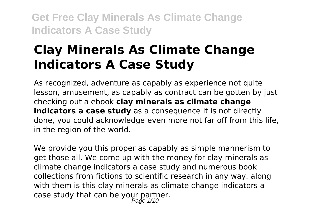# **Clay Minerals As Climate Change Indicators A Case Study**

As recognized, adventure as capably as experience not quite lesson, amusement, as capably as contract can be gotten by just checking out a ebook **clay minerals as climate change indicators a case study** as a consequence it is not directly done, you could acknowledge even more not far off from this life, in the region of the world.

We provide you this proper as capably as simple mannerism to get those all. We come up with the money for clay minerals as climate change indicators a case study and numerous book collections from fictions to scientific research in any way. along with them is this clay minerals as climate change indicators a case study that can be your partner. Page 1/10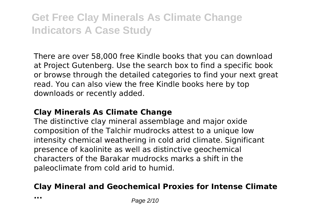There are over 58,000 free Kindle books that you can download at Project Gutenberg. Use the search box to find a specific book or browse through the detailed categories to find your next great read. You can also view the free Kindle books here by top downloads or recently added.

#### **Clay Minerals As Climate Change**

The distinctive clay mineral assemblage and major oxide composition of the Talchir mudrocks attest to a unique low intensity chemical weathering in cold arid climate. Significant presence of kaolinite as well as distinctive geochemical characters of the Barakar mudrocks marks a shift in the paleoclimate from cold arid to humid.

### **Clay Mineral and Geochemical Proxies for Intense Climate**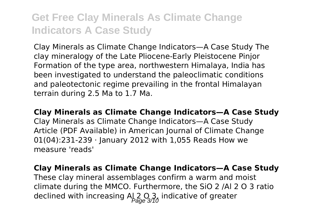Clay Minerals as Climate Change Indicators—A Case Study The clay mineralogy of the Late Pliocene-Early Pleistocene Pinjor Formation of the type area, northwestern Himalaya, India has been investigated to understand the paleoclimatic conditions and paleotectonic regime prevailing in the frontal Himalayan terrain during 2.5 Ma to 1.7 Ma.

**Clay Minerals as Climate Change Indicators—A Case Study**

Clay Minerals as Climate Change Indicators—A Case Study Article (PDF Available) in American Journal of Climate Change 01(04):231-239 · January 2012 with 1,055 Reads How we measure 'reads'

**Clay Minerals as Climate Change Indicators—A Case Study**

These clay mineral assemblages confirm a warm and moist climate during the MMCO. Furthermore, the SiO 2 /Al 2 O 3 ratio declined with increasing  $A_{\alpha}^{\dagger}2_{\alpha}^{\dagger}0_{\alpha}$  indicative of greater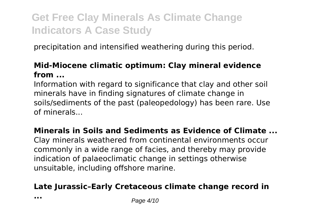precipitation and intensified weathering during this period.

#### **Mid-Miocene climatic optimum: Clay mineral evidence from ...**

Information with regard to significance that clay and other soil minerals have in finding signatures of climate change in soils/sediments of the past (paleopedology) has been rare. Use of minerals...

#### **Minerals in Soils and Sediments as Evidence of Climate ...**

Clay minerals weathered from continental environments occur commonly in a wide range of facies, and thereby may provide indication of palaeoclimatic change in settings otherwise unsuitable, including offshore marine.

### **Late Jurassic–Early Cretaceous climate change record in**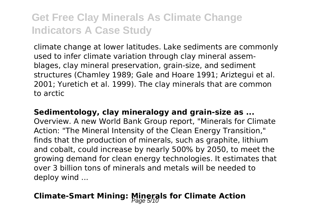climate change at lower latitudes. Lake sediments are commonly used to infer climate variation through clay mineral assemblages, clay mineral preservation, grain-size, and sediment structures (Chamley 1989; Gale and Hoare 1991; Ariztegui et al. 2001; Yuretich et al. 1999). The clay minerals that are common to arctic

### **Sedimentology, clay mineralogy and grain-size as ...**

Overview. A new World Bank Group report, "Minerals for Climate Action: "The Mineral Intensity of the Clean Energy Transition," finds that the production of minerals, such as graphite, lithium and cobalt, could increase by nearly 500% by 2050, to meet the growing demand for clean energy technologies. It estimates that over 3 billion tons of minerals and metals will be needed to deploy wind ...

### **Climate-Smart Mining: Minerals for Climate Action**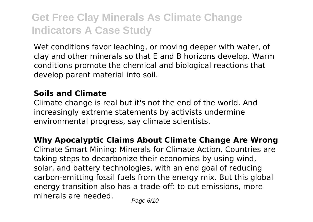Wet conditions favor leaching, or moving deeper with water, of clay and other minerals so that E and B horizons develop. Warm conditions promote the chemical and biological reactions that develop parent material into soil.

#### **Soils and Climate**

Climate change is real but it's not the end of the world. And increasingly extreme statements by activists undermine environmental progress, say climate scientists.

**Why Apocalyptic Claims About Climate Change Are Wrong** Climate Smart Mining: Minerals for Climate Action. Countries are

taking steps to decarbonize their economies by using wind, solar, and battery technologies, with an end goal of reducing carbon-emitting fossil fuels from the energy mix. But this global energy transition also has a trade-off: to cut emissions, more minerals are needed.  $P_{\text{face } 6/10}$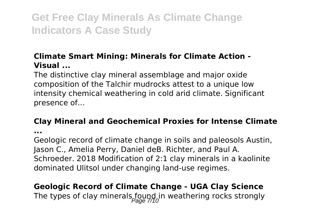### **Climate Smart Mining: Minerals for Climate Action - Visual ...**

The distinctive clay mineral assemblage and major oxide composition of the Talchir mudrocks attest to a unique low intensity chemical weathering in cold arid climate. Significant presence of...

#### **Clay Mineral and Geochemical Proxies for Intense Climate**

**...**

Geologic record of climate change in soils and paleosols Austin, Jason C., Amelia Perry, Daniel deB. Richter, and Paul A. Schroeder. 2018 Modification of 2:1 clay minerals in a kaolinite dominated Ulitsol under changing land-use regimes.

### **Geologic Record of Climate Change - UGA Clay Science** The types of clay minerals  $f_{\alpha\alpha}$  in weathering rocks strongly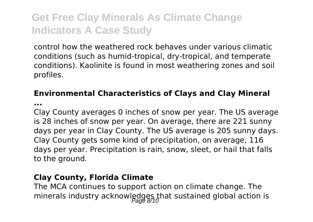control how the weathered rock behaves under various climatic conditions (such as humid-tropical, dry-tropical, and temperate conditions). Kaolinite is found in most weathering zones and soil profiles.

### **Environmental Characteristics of Clays and Clay Mineral**

**...**

Clay County averages 0 inches of snow per year. The US average is 28 inches of snow per year. On average, there are 221 sunny days per year in Clay County. The US average is 205 sunny days. Clay County gets some kind of precipitation, on average, 116 days per year. Precipitation is rain, snow, sleet, or hail that falls to the ground.

#### **Clay County, Florida Climate**

The MCA continues to support action on climate change. The minerals industry acknowledges that sustained global action is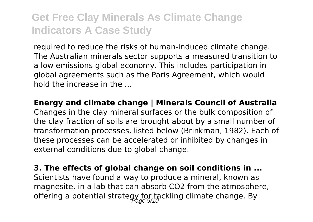required to reduce the risks of human-induced climate change. The Australian minerals sector supports a measured transition to a low emissions global economy. This includes participation in global agreements such as the Paris Agreement, which would hold the increase in the ...

**Energy and climate change | Minerals Council of Australia** Changes in the clay mineral surfaces or the bulk composition of the clay fraction of soils are brought about by a small number of transformation processes, listed below (Brinkman, 1982). Each of these processes can be accelerated or inhibited by changes in external conditions due to global change.

**3. The effects of global change on soil conditions in ...** Scientists have found a way to produce a mineral, known as magnesite, in a lab that can absorb CO2 from the atmosphere, offering a potential strategy for tackling climate change. By